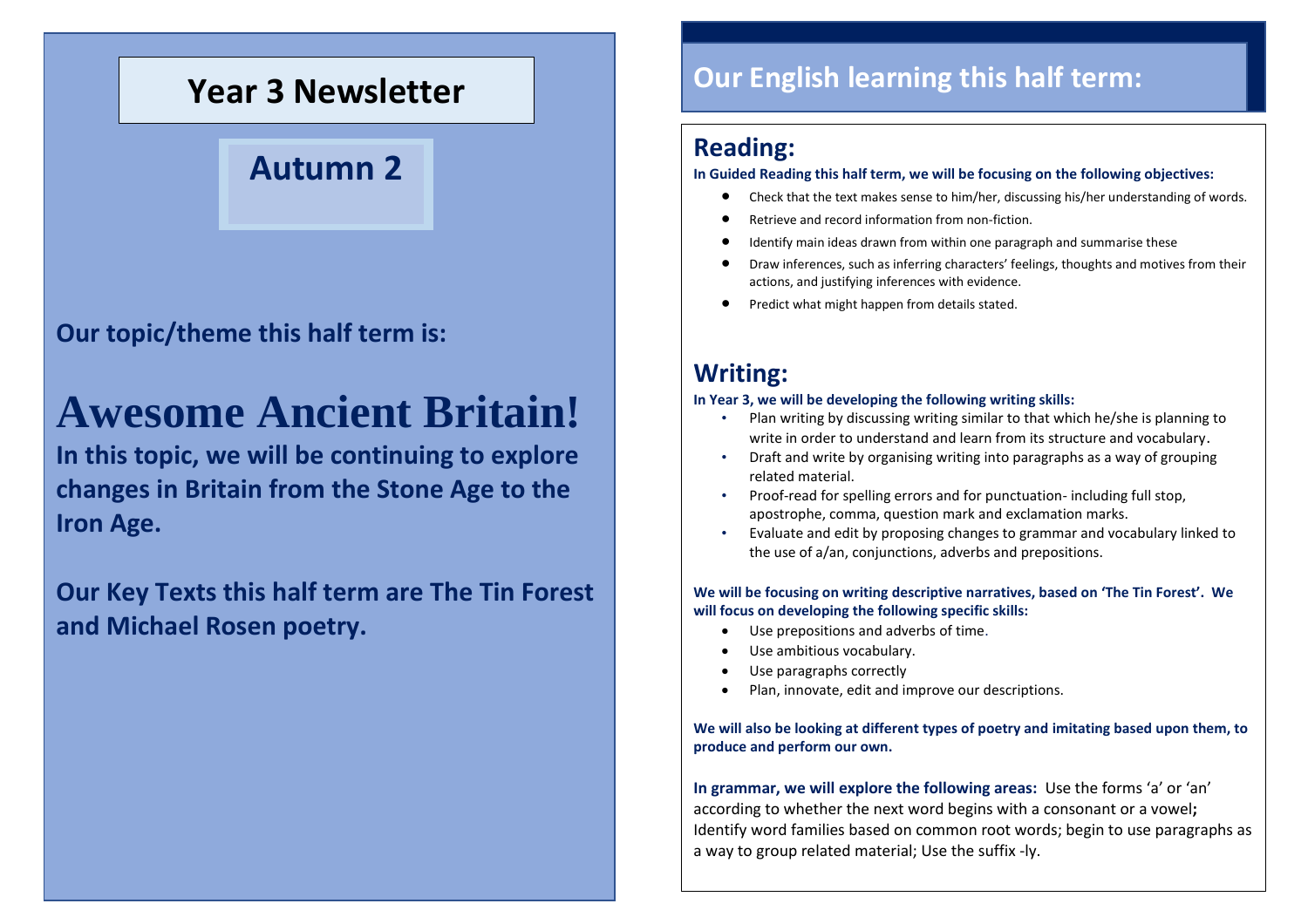## **Year 3 Newsletter**

## **Autumn 2**

**Our topic/theme this half term is:**

# **Awesome Ancient Britain!**

**In this topic, we will be continuing to explore changes in Britain from the Stone Age to the Iron Age.**

**Our Key Texts this half term are The Tin Forest and Michael Rosen poetry.**

## **Our English learning this half term:**

### **Reading:**

**In Guided Reading this half term, we will be focusing on the following objectives:**

- Check that the text makes sense to him/her, discussing his/her understanding of words.
- Retrieve and record information from non-fiction.
- Identify main ideas drawn from within one paragraph and summarise these
- Draw inferences, such as inferring characters' feelings, thoughts and motives from their actions, and justifying inferences with evidence.
- Predict what might happen from details stated.

### **Writing:**

#### **In Year 3, we will be developing the following writing skills:**

- Plan writing by discussing writing similar to that which he/she is planning to write in order to understand and learn from its structure and vocabulary.
- Draft and write by organising writing into paragraphs as a way of grouping related material.
- Proof-read for spelling errors and for punctuation- including full stop, apostrophe, comma, question mark and exclamation marks.
- Evaluate and edit by proposing changes to grammar and vocabulary linked to the use of a/an, conjunctions, adverbs and prepositions.

#### **We will be focusing on writing descriptive narratives, based on 'The Tin Forest'. We will focus on developing the following specific skills:**

- Use prepositions and adverbs of time.
- Use ambitious vocabulary.
- Use paragraphs correctly
- Plan, innovate, edit and improve our descriptions.

#### **We will also be looking at different types of poetry and imitating based upon them, to produce and perform our own.**

**In grammar, we will explore the following areas:** Use the forms 'a' or 'an' according to whether the next word begins with a consonant or a vowel**;**  Identify word families based on common root words; begin to use paragraphs as a way to group related material; Use the suffix -ly.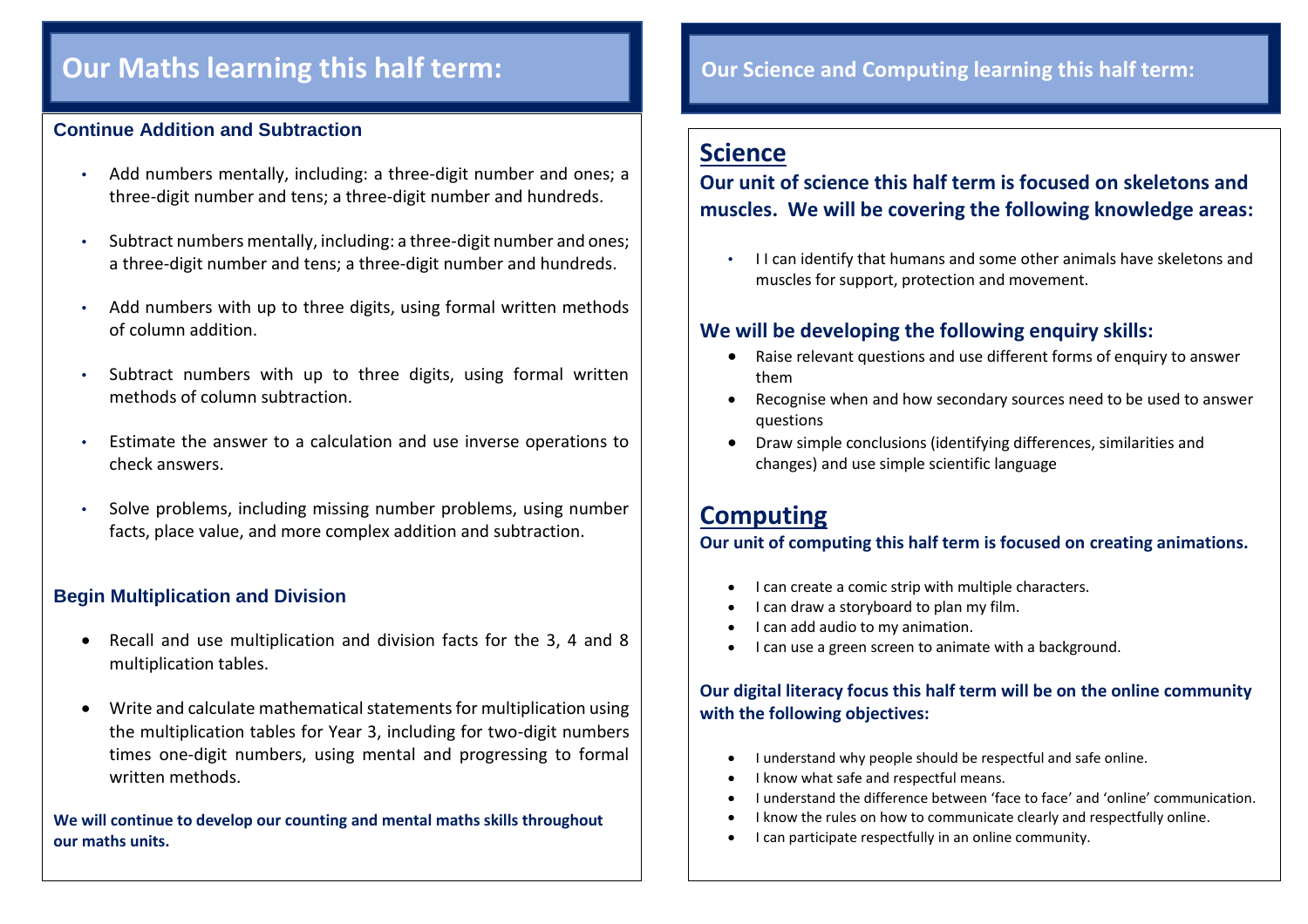### **Our Maths learning this half term:**

#### **Continue Addition and Subtraction**

- Add numbers mentally, including: a three-digit number and ones; a three-digit number and tens; a three-digit number and hundreds.
- Subtract numbers mentally, including: a three-digit number and ones; a three-digit number and tens; a three-digit number and hundreds.
- Add numbers with up to three digits, using formal written methods of column addition.
- Subtract numbers with up to three digits, using formal written methods of column subtraction.
- Estimate the answer to a calculation and use inverse operations to check answers.
- Solve problems, including missing number problems, using number facts, place value, and more complex addition and subtraction.

#### **Begin Multiplication and Division**

- Recall and use multiplication and division facts for the 3, 4 and 8 multiplication tables.
- Write and calculate mathematical statements for multiplication using the multiplication tables for Year 3, including for two-digit numbers times one-digit numbers, using mental and progressing to formal written methods.

**We will continue to develop our counting and mental maths skills throughout our maths units.**

#### **Our Science and Computing learning this half term:**

### **Science**

#### **Our unit of science this half term is focused on skeletons and muscles. We will be covering the following knowledge areas:**

• I I can identify that humans and some other animals have skeletons and muscles for support, protection and movement.

#### **We will be developing the following enquiry skills:**

- Raise relevant questions and use different forms of enquiry to answer them
- Recognise when and how secondary sources need to be used to answer questions
- Draw simple conclusions (identifying differences, similarities and changes) and use simple scientific language

### **Computing**

#### **Our unit of computing this half term is focused on creating animations.**

- I can create a comic strip with multiple characters.
- I can draw a storyboard to plan my film.
- I can add audio to my animation.
- I can use a green screen to animate with a background.

#### **Our digital literacy focus this half term will be on the online community with the following objectives:**

- I understand why people should be respectful and safe online.
- I know what safe and respectful means.
- I understand the difference between 'face to face' and 'online' communication.
- I know the rules on how to communicate clearly and respectfully online.
- I can participate respectfully in an online community.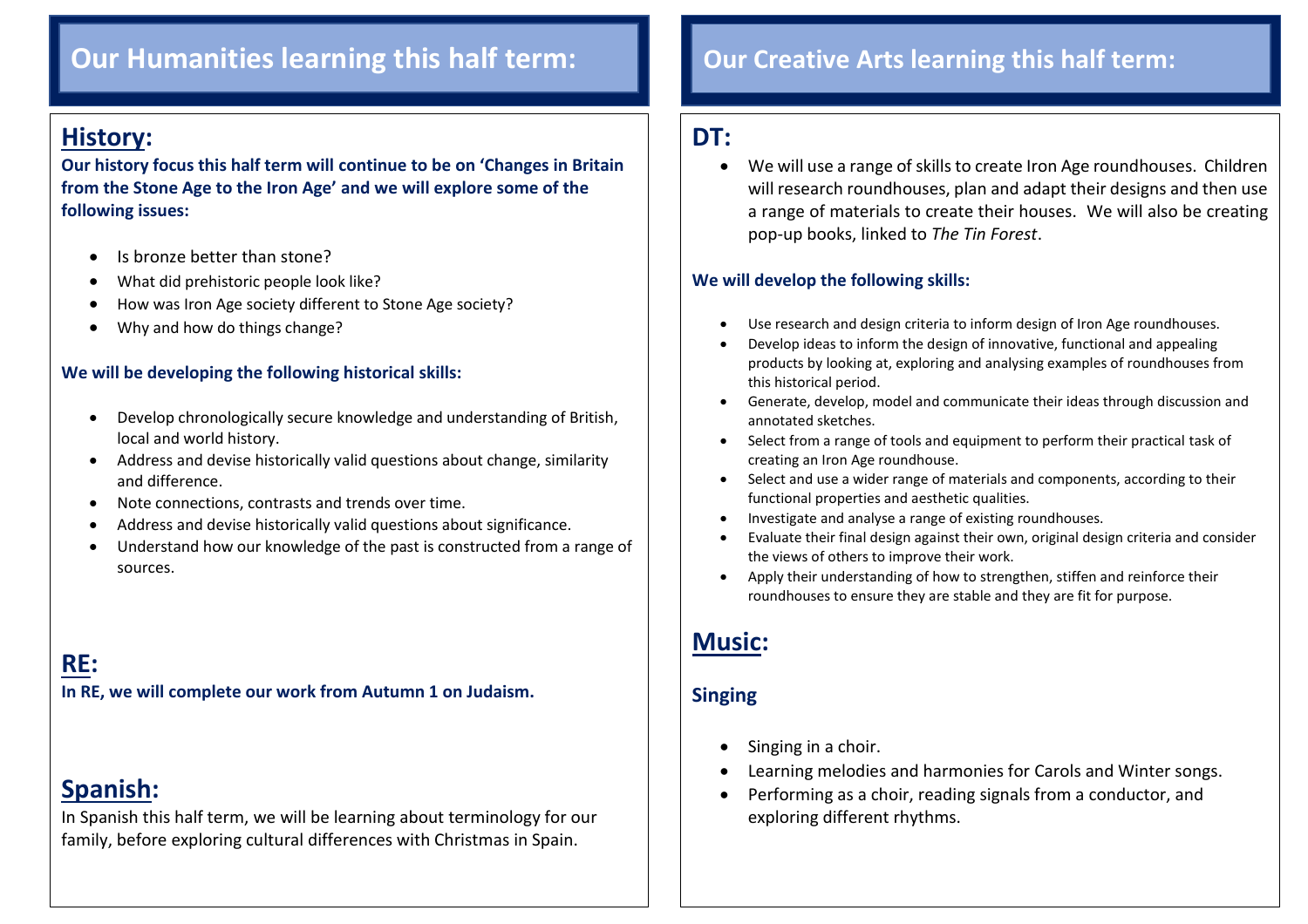### **Our Humanities learning this half term: Our Creative Arts learning this half term:**

### **History:**

 $\overline{\phantom{a}}$ 

**Our history focus this half term will continue to be on 'Changes in Britain from the Stone Age to the Iron Age' and we will explore some of the following issues:**

- Is bronze better than stone?
- What did prehistoric people look like?
- How was Iron Age society different to Stone Age society?
- Why and how do things change?

#### **We will be developing the following historical skills:**

- Develop chronologically secure knowledge and understanding of British, local and world history.
- Address and devise historically valid questions about change, similarity and difference.
- Note connections, contrasts and trends over time.
- Address and devise historically valid questions about significance.
- Understand how our knowledge of the past is constructed from a range of sources.

### **RE:**

**In RE, we will complete our work from Autumn 1 on Judaism.**

### **Spanish:**

In Spanish this half term, we will be learning about terminology for our family, before exploring cultural differences with Christmas in Spain.

### **DT:**

 We will use a range of skills to create Iron Age roundhouses. Children will research roundhouses, plan and adapt their designs and then use a range of materials to create their houses. We will also be creating pop-up books, linked to *The Tin Forest*.

#### **We will develop the following skills:**

- Use research and design criteria to inform design of Iron Age roundhouses.
- Develop ideas to inform the design of innovative, functional and appealing products by looking at, exploring and analysing examples of roundhouses from this historical period.
- Generate, develop, model and communicate their ideas through discussion and annotated sketches.
- Select from a range of tools and equipment to perform their practical task of creating an Iron Age roundhouse.
- Select and use a wider range of materials and components, according to their functional properties and aesthetic qualities.
- Investigate and analyse a range of existing roundhouses.
- Evaluate their final design against their own, original design criteria and consider the views of others to improve their work.
- Apply their understanding of how to strengthen, stiffen and reinforce their roundhouses to ensure they are stable and they are fit for purpose.

### **Music:**

#### **Singing**

- $\bullet$  Singing in a choir.
- Learning melodies and harmonies for Carols and Winter songs.
- Performing as a choir, reading signals from a conductor, and exploring different rhythms.